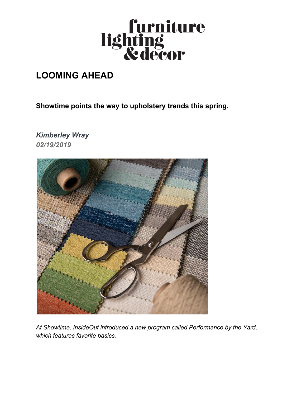

## **LOOMING AHEAD**

**Showtime points the way to upholstery trends this spring.**

*Kimberley Wray 02/19/2019*



*At Showtime, InsideOut introduced a new program called Performance by the Yard, which features favorite basics.*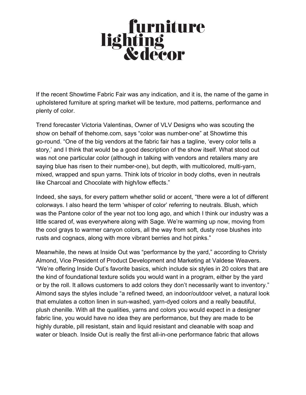## **furniture<br>lighting<br>&decor**

If the recent Showtime Fabric Fair was any indication, and it is, the name of the game in [upholstered furniture](https://www.furniturelightingdecor.com/senators-introduce-new-upholstered-furniture-flammability-legislation) at spring market will be texture, mod patterns, performance and plenty of color.

Trend forecaster Victoria Valentinas, Owner of VLV Designs who was scouting the show on behalf of thehome.com, says "color was number-one" at Showtime this go-round. "One of the big vendors at the fabric fair has a tagline, 'every color tells a story,' and I think that would be a good description of the show itself. What stood out was not one particular color (although in talking with vendors and retailers many are saying blue has risen to their number-one), but depth, with multicolored, multi-yarn, mixed, wrapped and spun yarns. Think lots of tricolor in body cloths, even in neutrals like Charcoal and Chocolate with high/low effects."

Indeed, she says, for every pattern whether solid or accent, "there were a lot of different colorways. I also heard the term 'whisper of color' referring to neutrals. Blush, which was the Pantone color of the year not too long ago, and which I think our industry was a little scared of, was everywhere along with Sage. We're warming up now, moving from the cool grays to warmer canyon colors, all the way from soft, dusty rose blushes into rusts and cognacs, along with more vibrant berries and hot pinks."

Meanwhile, the news at Inside Out was "performance by the yard," according to Christy Almond, Vice President of Product Development and Marketing at Valdese Weavers. "We're offering Inside Out's favorite basics, which include six styles in 20 colors that are the kind of foundational texture solids you would want in a program, either by the yard or by the roll. It allows customers to add colors they don't necessarily want to inventory." Almond says the styles include "a refined tweed, an indoor/outdoor velvet, a natural look that emulates a cotton linen in sun-washed, yarn-dyed colors and a really beautiful, plush chenille. With all the qualities, yarns and colors you would expect in a designer fabric line, you would have no idea they are performance, but they are made to be highly durable, pill resistant, stain and liquid resistant and cleanable with soap and water or bleach. Inside Out is really the first all-in-one performance fabric that allows